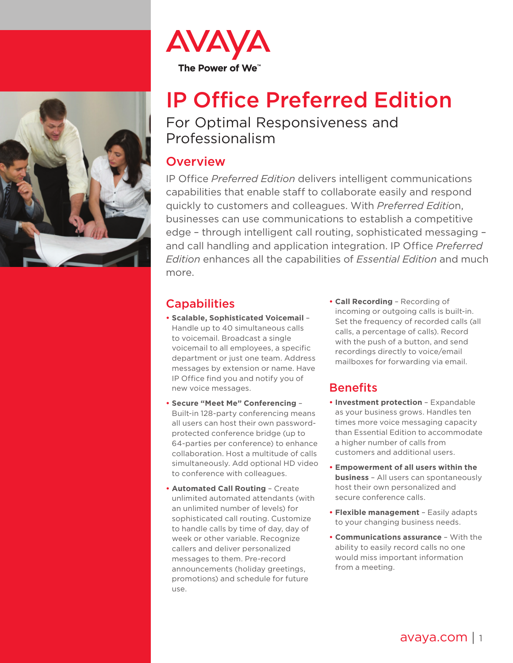



## IP Office Preferred Edition For Optimal Responsiveness and

# Professionalism

#### **Overview**

IP Office *Preferred Edition* delivers intelligent communications capabilities that enable staff to collaborate easily and respond quickly to customers and colleagues. With *Preferred Editio*n, businesses can use communications to establish a competitive edge – through intelligent call routing, sophisticated messaging – and call handling and application integration. IP Office *Preferred Edition* enhances all the capabilities of *Essential Edition* and much more.

#### **Capabilities**

- **• Scalable, Sophisticated Voicemail** Handle up to 40 simultaneous calls to voicemail. Broadcast a single voicemail to all employees, a specific department or just one team. Address messages by extension or name. Have IP Office find you and notify you of new voice messages.
- **• Secure "Meet Me" Conferencing** Built-in 128-party conferencing means all users can host their own passwordprotected conference bridge (up to 64-parties per conference) to enhance collaboration. Host a multitude of calls simultaneously. Add optional HD video to conference with colleagues.
- **• Automated Call Routing** Create unlimited automated attendants (with an unlimited number of levels) for sophisticated call routing. Customize to handle calls by time of day, day of week or other variable. Recognize callers and deliver personalized messages to them. Pre-record announcements (holiday greetings, promotions) and schedule for future  $IICQ$

**• Call Recording** – Recording of incoming or outgoing calls is built-in. Set the frequency of recorded calls (all calls, a percentage of calls). Record with the push of a button, and send recordings directly to voice/email mailboxes for forwarding via email.

### **Benefits**

- **• Investment protection** Expandable as your business grows. Handles ten times more voice messaging capacity than Essential Edition to accommodate a higher number of calls from customers and additional users.
- **• Empowerment of all users within the business** – All users can spontaneously host their own personalized and secure conference calls.
- **• Flexible management** Easily adapts to your changing business needs.
- **• Communications assurance** With the ability to easily record calls no one would miss important information from a meeting.